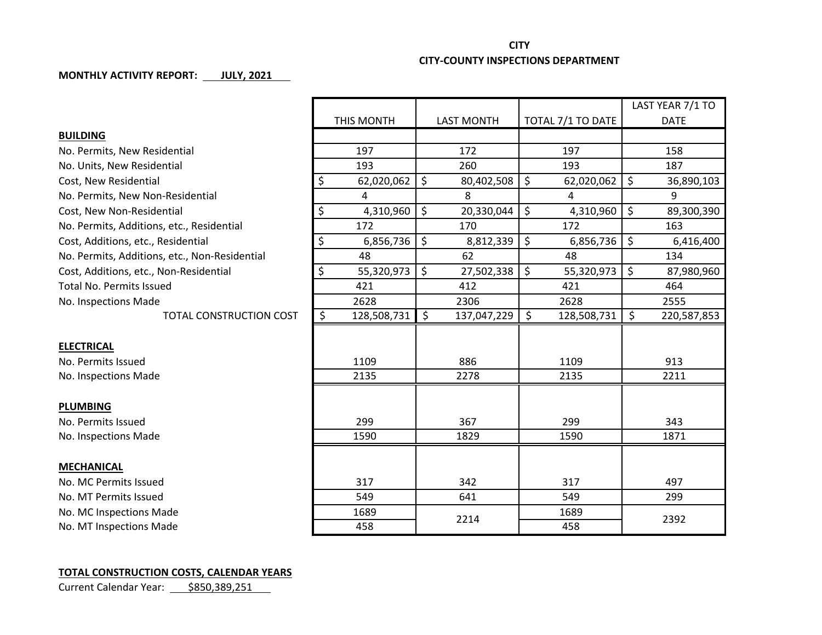## **CITY CITY-COUNTY INSPECTIONS DEPARTMENT**

## **MONTHLY ACTIVITY REPORT: JULY, 2021**

|            |                   |                                                                           | LAST YEAR 7/1 TO  |
|------------|-------------------|---------------------------------------------------------------------------|-------------------|
| THIS MONTH | <b>LAST MONTH</b> |                                                                           | <b>DATE</b>       |
|            |                   |                                                                           |                   |
| 197        | 172               | 197                                                                       | 158               |
| 193        | 260               | 193                                                                       | 187               |
| \$         | \$<br>80,402,508  | \$<br>62,020,062                                                          | \$<br>36,890,103  |
| 4          | 8                 | 4                                                                         | 9                 |
| \$         | \$<br>20,330,044  | \$<br>4,310,960                                                           | \$<br>89,300,390  |
| 172        | 170               | 172                                                                       | 163               |
| \$         | \$<br>8,812,339   | $\zeta$<br>6,856,736                                                      | \$<br>6,416,400   |
| 48         | 62                | 48                                                                        | 134               |
| \$         | \$<br>27,502,338  | $\zeta$<br>55,320,973                                                     | \$<br>87,980,960  |
| 421        | 412               | 421                                                                       | 464               |
| 2628       | 2306              | 2628                                                                      | 2555              |
| \$         | \$<br>137,047,229 | \$<br>128,508,731                                                         | \$<br>220,587,853 |
|            |                   |                                                                           |                   |
|            |                   |                                                                           |                   |
| 1109       | 886               | 1109                                                                      | 913               |
| 2135       | 2278              | 2135                                                                      | 2211              |
|            |                   |                                                                           |                   |
|            |                   |                                                                           |                   |
| 299        | 367               | 299                                                                       | 343               |
| 1590       | 1829              | 1590                                                                      | 1871              |
|            |                   |                                                                           |                   |
|            |                   |                                                                           |                   |
| 317        | 342               | 317                                                                       | 497               |
| 549        | 641               | 549                                                                       | 299               |
| 1689       |                   | 1689                                                                      |                   |
| 458        |                   | 458                                                                       | 2392              |
|            |                   | 62,020,062<br>4,310,960<br>6,856,736<br>55,320,973<br>128,508,731<br>2214 | TOTAL 7/1 TO DATE |

## **TOTAL CONSTRUCTION COSTS, CALENDAR YEARS**

Current Calendar Year: 5850,389,251